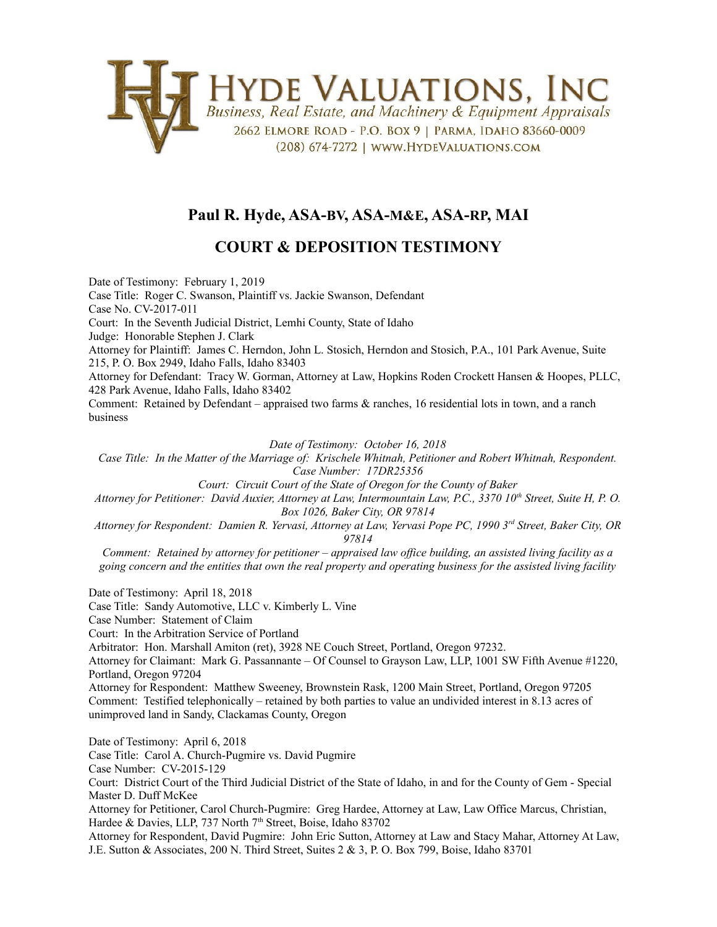

## **Paul R. Hyde, ASA-BV, ASA-M&E, ASA-RP, MAI**

## **COURT & DEPOSITION TESTIMONY**

Date of Testimony: February 1, 2019 Case Title: Roger C. Swanson, Plaintiff vs. Jackie Swanson, Defendant Case No. CV-2017-011 Court: In the Seventh Judicial District, Lemhi County, State of Idaho Judge: Honorable Stephen J. Clark Attorney for Plaintiff: James C. Herndon, John L. Stosich, Herndon and Stosich, P.A., 101 Park Avenue, Suite 215, P. O. Box 2949, Idaho Falls, Idaho 83403 Attorney for Defendant: Tracy W. Gorman, Attorney at Law, Hopkins Roden Crockett Hansen & Hoopes, PLLC, 428 Park Avenue, Idaho Falls, Idaho 83402 Comment: Retained by Defendant – appraised two farms & ranches, 16 residential lots in town, and a ranch business

*Date of Testimony: October 16, 2018*

*Case Title: In the Matter of the Marriage of: Krischele Whitnah, Petitioner and Robert Whitnah, Respondent. Case Number: 17DR25356*

*Court: Circuit Court of the State of Oregon for the County of Baker*

*Attorney for Petitioner: David Auxier, Attorney at Law, Intermountain Law, P.C., 3370 10th Street, Suite H, P. O. Box 1026, Baker City, OR 97814*

*Attorney for Respondent: Damien R. Yervasi, Attorney at Law, Yervasi Pope PC, 1990 3rd Street, Baker City, OR 97814*

*Comment: Retained by attorney for petitioner – appraised law office building, an assisted living facility as a going concern and the entities that own the real property and operating business for the assisted living facility*

Date of Testimony: April 18, 2018 Case Title: Sandy Automotive, LLC v. Kimberly L. Vine Case Number: Statement of Claim Court: In the Arbitration Service of Portland Arbitrator: Hon. Marshall Amiton (ret), 3928 NE Couch Street, Portland, Oregon 97232. Attorney for Claimant: Mark G. Passannante – Of Counsel to Grayson Law, LLP, 1001 SW Fifth Avenue #1220, Portland, Oregon 97204 Attorney for Respondent: Matthew Sweeney, Brownstein Rask, 1200 Main Street, Portland, Oregon 97205 Comment: Testified telephonically – retained by both parties to value an undivided interest in 8.13 acres of unimproved land in Sandy, Clackamas County, Oregon Date of Testimony: April 6, 2018 Case Title: Carol A. Church-Pugmire vs. David Pugmire Case Number: CV-2015-129 Court: District Court of the Third Judicial District of the State of Idaho, in and for the County of Gem - Special Master D. Duff McKee Attorney for Petitioner, Carol Church-Pugmire: Greg Hardee, Attorney at Law, Law Office Marcus, Christian, Hardee & Davies, LLP, 737 North 7<sup>th</sup> Street, Boise, Idaho 83702 Attorney for Respondent, David Pugmire: John Eric Sutton, Attorney at Law and Stacy Mahar, Attorney At Law,

J.E. Sutton & Associates, 200 N. Third Street, Suites 2 & 3, P. O. Box 799, Boise, Idaho 83701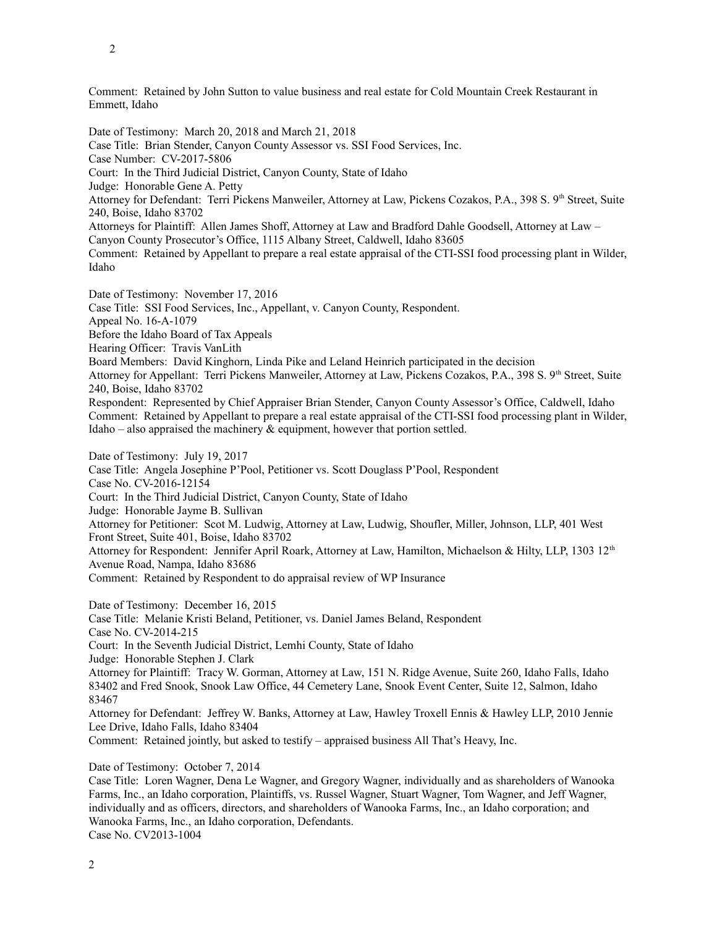Comment: Retained by John Sutton to value business and real estate for Cold Mountain Creek Restaurant in Emmett, Idaho

Date of Testimony: March 20, 2018 and March 21, 2018 Case Title: Brian Stender, Canyon County Assessor vs. SSI Food Services, Inc. Case Number: CV-2017-5806 Court: In the Third Judicial District, Canyon County, State of Idaho Judge: Honorable Gene A. Petty Attorney for Defendant: Terri Pickens Manweiler, Attorney at Law, Pickens Cozakos, P.A., 398 S. 9<sup>th</sup> Street, Suite 240, Boise, Idaho 83702 Attorneys for Plaintiff: Allen James Shoff, Attorney at Law and Bradford Dahle Goodsell, Attorney at Law – Canyon County Prosecutor's Office, 1115 Albany Street, Caldwell, Idaho 83605 Comment: Retained by Appellant to prepare a real estate appraisal of the CTI-SSI food processing plant in Wilder, Idaho Date of Testimony: November 17, 2016 Case Title: SSI Food Services, Inc., Appellant, v. Canyon County, Respondent. Appeal No. 16-A-1079 Before the Idaho Board of Tax Appeals Hearing Officer: Travis VanLith Board Members: David Kinghorn, Linda Pike and Leland Heinrich participated in the decision Attorney for Appellant: Terri Pickens Manweiler, Attorney at Law, Pickens Cozakos, P.A., 398 S. 9<sup>th</sup> Street, Suite 240, Boise, Idaho 83702 Respondent: Represented by Chief Appraiser Brian Stender, Canyon County Assessor's Office, Caldwell, Idaho Comment: Retained by Appellant to prepare a real estate appraisal of the CTI-SSI food processing plant in Wilder, Idaho – also appraised the machinery  $\&$  equipment, however that portion settled. Date of Testimony: July 19, 2017 Case Title: Angela Josephine P'Pool, Petitioner vs. Scott Douglass P'Pool, Respondent Case No. CV-2016-12154 Court: In the Third Judicial District, Canyon County, State of Idaho Judge: Honorable Jayme B. Sullivan Attorney for Petitioner: Scot M. Ludwig, Attorney at Law, Ludwig, Shoufler, Miller, Johnson, LLP, 401 West Front Street, Suite 401, Boise, Idaho 83702 Attorney for Respondent: Jennifer April Roark, Attorney at Law, Hamilton, Michaelson & Hilty, LLP, 1303 12<sup>th</sup> Avenue Road, Nampa, Idaho 83686 Comment: Retained by Respondent to do appraisal review of WP Insurance Date of Testimony: December 16, 2015 Case Title: Melanie Kristi Beland, Petitioner, vs. Daniel James Beland, Respondent Case No. CV-2014-215 Court: In the Seventh Judicial District, Lemhi County, State of Idaho Judge: Honorable Stephen J. Clark Attorney for Plaintiff: Tracy W. Gorman, Attorney at Law, 151 N. Ridge Avenue, Suite 260, Idaho Falls, Idaho 83402 and Fred Snook, Snook Law Office, 44 Cemetery Lane, Snook Event Center, Suite 12, Salmon, Idaho 83467 Attorney for Defendant: Jeffrey W. Banks, Attorney at Law, Hawley Troxell Ennis & Hawley LLP, 2010 Jennie Lee Drive, Idaho Falls, Idaho 83404 Comment: Retained jointly, but asked to testify – appraised business All That's Heavy, Inc. Date of Testimony: October 7, 2014

Case Title: Loren Wagner, Dena Le Wagner, and Gregory Wagner, individually and as shareholders of Wanooka Farms, Inc., an Idaho corporation, Plaintiffs, vs. Russel Wagner, Stuart Wagner, Tom Wagner, and Jeff Wagner, individually and as officers, directors, and shareholders of Wanooka Farms, Inc., an Idaho corporation; and Wanooka Farms, Inc., an Idaho corporation, Defendants. Case No. CV2013-1004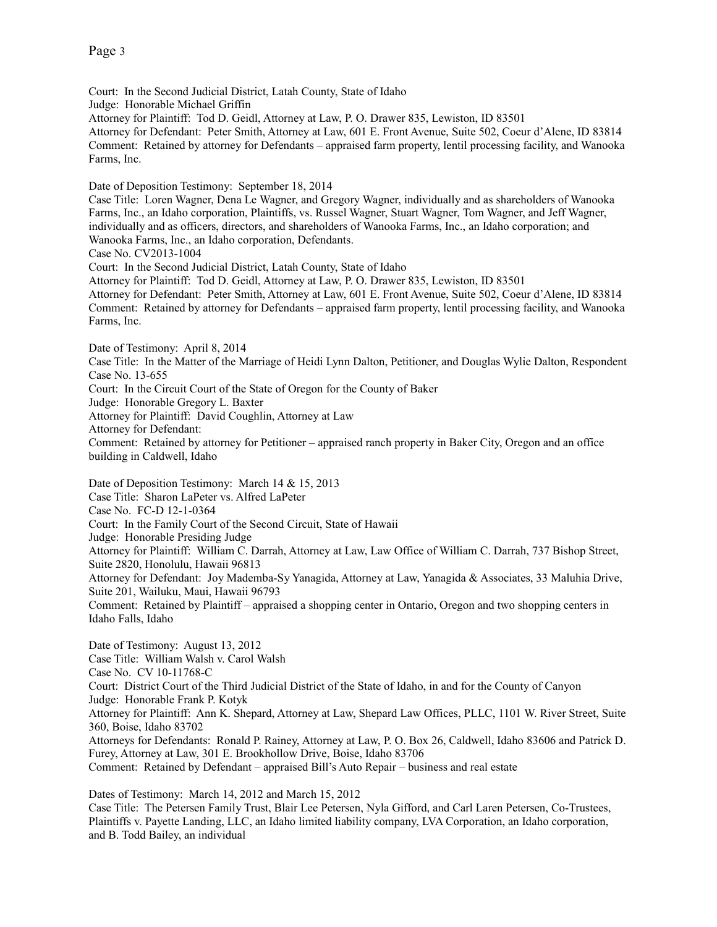Court: In the Second Judicial District, Latah County, State of Idaho Judge: Honorable Michael Griffin Attorney for Plaintiff: Tod D. Geidl, Attorney at Law, P. O. Drawer 835, Lewiston, ID 83501 Attorney for Defendant: Peter Smith, Attorney at Law, 601 E. Front Avenue, Suite 502, Coeur d'Alene, ID 83814 Comment: Retained by attorney for Defendants – appraised farm property, lentil processing facility, and Wanooka Farms, Inc.

Date of Deposition Testimony: September 18, 2014

Case Title: Loren Wagner, Dena Le Wagner, and Gregory Wagner, individually and as shareholders of Wanooka Farms, Inc., an Idaho corporation, Plaintiffs, vs. Russel Wagner, Stuart Wagner, Tom Wagner, and Jeff Wagner, individually and as officers, directors, and shareholders of Wanooka Farms, Inc., an Idaho corporation; and Wanooka Farms, Inc., an Idaho corporation, Defendants.

Case No. CV2013-1004

Court: In the Second Judicial District, Latah County, State of Idaho

Attorney for Plaintiff: Tod D. Geidl, Attorney at Law, P. O. Drawer 835, Lewiston, ID 83501 Attorney for Defendant: Peter Smith, Attorney at Law, 601 E. Front Avenue, Suite 502, Coeur d'Alene, ID 83814 Comment: Retained by attorney for Defendants – appraised farm property, lentil processing facility, and Wanooka Farms, Inc.

Date of Testimony: April 8, 2014

Case Title: In the Matter of the Marriage of Heidi Lynn Dalton, Petitioner, and Douglas Wylie Dalton, Respondent Case No. 13-655

Court: In the Circuit Court of the State of Oregon for the County of Baker

Judge: Honorable Gregory L. Baxter

Attorney for Plaintiff: David Coughlin, Attorney at Law

Attorney for Defendant:

Comment: Retained by attorney for Petitioner – appraised ranch property in Baker City, Oregon and an office building in Caldwell, Idaho

Date of Deposition Testimony: March 14 & 15, 2013

Case Title: Sharon LaPeter vs. Alfred LaPeter

Case No. FC-D 12-1-0364

Court: In the Family Court of the Second Circuit, State of Hawaii

Judge: Honorable Presiding Judge

Attorney for Plaintiff: William C. Darrah, Attorney at Law, Law Office of William C. Darrah, 737 Bishop Street, Suite 2820, Honolulu, Hawaii 96813

Attorney for Defendant: Joy Mademba-Sy Yanagida, Attorney at Law, Yanagida & Associates, 33 Maluhia Drive, Suite 201, Wailuku, Maui, Hawaii 96793

Comment: Retained by Plaintiff – appraised a shopping center in Ontario, Oregon and two shopping centers in Idaho Falls, Idaho

Date of Testimony: August 13, 2012 Case Title: William Walsh v. Carol Walsh Case No. CV 10-11768-C Court: District Court of the Third Judicial District of the State of Idaho, in and for the County of Canyon Judge: Honorable Frank P. Kotyk Attorney for Plaintiff: Ann K. Shepard, Attorney at Law, Shepard Law Offices, PLLC, 1101 W. River Street, Suite 360, Boise, Idaho 83702 Attorneys for Defendants: Ronald P. Rainey, Attorney at Law, P. O. Box 26, Caldwell, Idaho 83606 and Patrick D. Furey, Attorney at Law, 301 E. Brookhollow Drive, Boise, Idaho 83706 Comment: Retained by Defendant – appraised Bill's Auto Repair – business and real estate

Dates of Testimony: March 14, 2012 and March 15, 2012

Case Title: The Petersen Family Trust, Blair Lee Petersen, Nyla Gifford, and Carl Laren Petersen, Co-Trustees, Plaintiffs v. Payette Landing, LLC, an Idaho limited liability company, LVA Corporation, an Idaho corporation, and B. Todd Bailey, an individual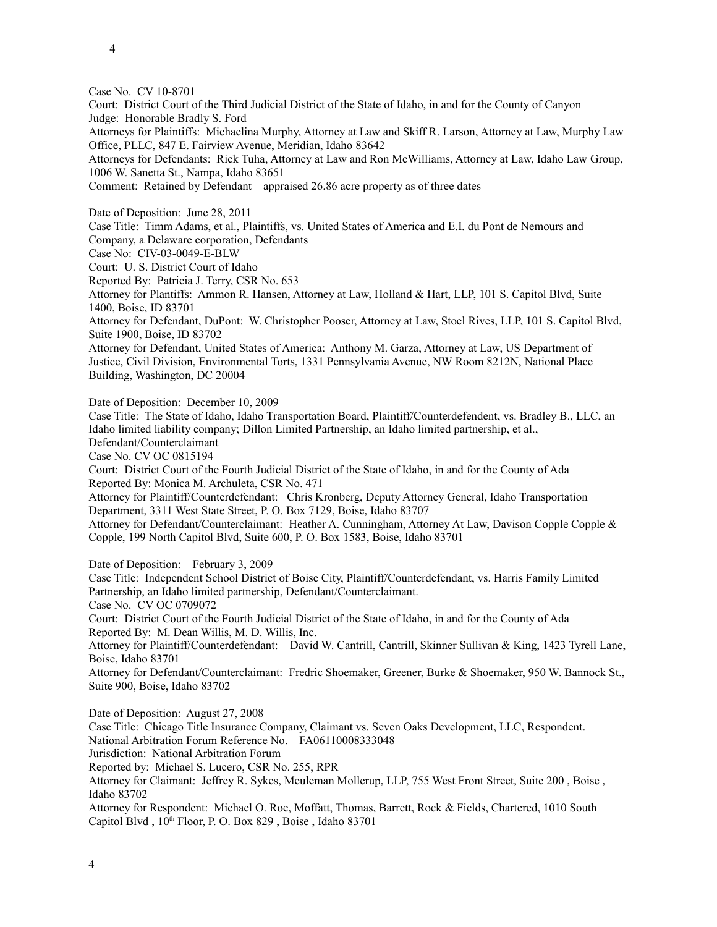Case No. CV 10-8701

Court: District Court of the Third Judicial District of the State of Idaho, in and for the County of Canyon Judge: Honorable Bradly S. Ford

Attorneys for Plaintiffs: Michaelina Murphy, Attorney at Law and Skiff R. Larson, Attorney at Law, Murphy Law Office, PLLC, 847 E. Fairview Avenue, Meridian, Idaho 83642

Attorneys for Defendants: Rick Tuha, Attorney at Law and Ron McWilliams, Attorney at Law, Idaho Law Group, 1006 W. Sanetta St., Nampa, Idaho 83651

Comment: Retained by Defendant – appraised 26.86 acre property as of three dates

Date of Deposition: June 28, 2011

Case Title: Timm Adams, et al., Plaintiffs, vs. United States of America and E.I. du Pont de Nemours and Company, a Delaware corporation, Defendants

Case No: CIV-03-0049-E-BLW

Court: U. S. District Court of Idaho

Reported By: Patricia J. Terry, CSR No. 653

Attorney for Plantiffs: Ammon R. Hansen, Attorney at Law, Holland & Hart, LLP, 101 S. Capitol Blvd, Suite 1400, Boise, ID 83701

Attorney for Defendant, DuPont: W. Christopher Pooser, Attorney at Law, Stoel Rives, LLP, 101 S. Capitol Blvd, Suite 1900, Boise, ID 83702

Attorney for Defendant, United States of America: Anthony M. Garza, Attorney at Law, US Department of Justice, Civil Division, Environmental Torts, 1331 Pennsylvania Avenue, NW Room 8212N, National Place Building, Washington, DC 20004

Date of Deposition: December 10, 2009

Case Title: The State of Idaho, Idaho Transportation Board, Plaintiff/Counterdefendent, vs. Bradley B., LLC, an Idaho limited liability company; Dillon Limited Partnership, an Idaho limited partnership, et al., Defendant/Counterclaimant

Case No. CV OC 0815194

Court: District Court of the Fourth Judicial District of the State of Idaho, in and for the County of Ada Reported By: Monica M. Archuleta, CSR No. 471

Attorney for Plaintiff/Counterdefendant: Chris Kronberg, Deputy Attorney General, Idaho Transportation Department, 3311 West State Street, P. O. Box 7129, Boise, Idaho 83707

Attorney for Defendant/Counterclaimant: Heather A. Cunningham, Attorney At Law, Davison Copple Copple & Copple, 199 North Capitol Blvd, Suite 600, P. O. Box 1583, Boise, Idaho 83701

Date of Deposition: February 3, 2009

Case Title: Independent School District of Boise City, Plaintiff/Counterdefendant, vs. Harris Family Limited Partnership, an Idaho limited partnership, Defendant/Counterclaimant. Case No. CV OC 0709072

Court: District Court of the Fourth Judicial District of the State of Idaho, in and for the County of Ada Reported By: M. Dean Willis, M. D. Willis, Inc.

Attorney for Plaintiff/Counterdefendant: David W. Cantrill, Cantrill, Skinner Sullivan & King, 1423 Tyrell Lane, Boise, Idaho 83701

Attorney for Defendant/Counterclaimant: Fredric Shoemaker, Greener, Burke & Shoemaker, 950 W. Bannock St., Suite 900, Boise, Idaho 83702

Date of Deposition: August 27, 2008 Case Title: Chicago Title Insurance Company, Claimant vs. Seven Oaks Development, LLC, Respondent. National Arbitration Forum Reference No. FA06110008333048 Jurisdiction: National Arbitration Forum Reported by: Michael S. Lucero, CSR No. 255, RPR Attorney for Claimant: Jeffrey R. Sykes, Meuleman Mollerup, LLP, 755 West Front Street, Suite 200 , Boise , Idaho 83702 Attorney for Respondent: Michael O. Roe, Moffatt, Thomas, Barrett, Rock & Fields, Chartered, 1010 South

Capitol Blvd,  $10^{th}$  Floor, P.O. Box 829, Boise, Idaho 83701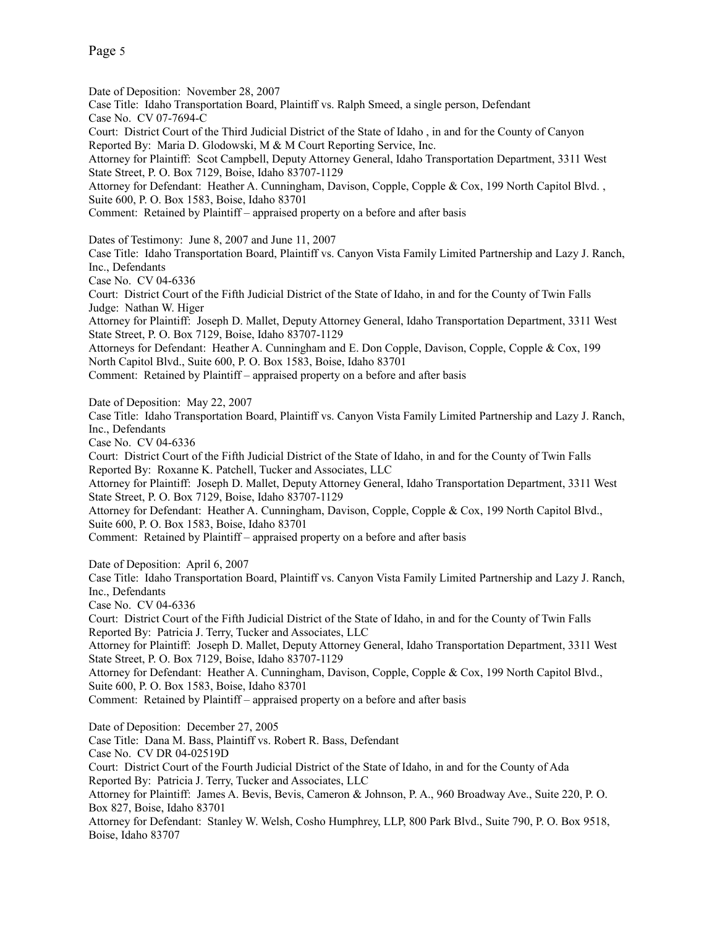Date of Deposition: November 28, 2007 Case Title: Idaho Transportation Board, Plaintiff vs. Ralph Smeed, a single person, Defendant Case No. CV 07-7694-C Court: District Court of the Third Judicial District of the State of Idaho , in and for the County of Canyon Reported By: Maria D. Glodowski, M & M Court Reporting Service, Inc. Attorney for Plaintiff: Scot Campbell, Deputy Attorney General, Idaho Transportation Department, 3311 West State Street, P. O. Box 7129, Boise, Idaho 83707-1129 Attorney for Defendant: Heather A. Cunningham, Davison, Copple, Copple & Cox, 199 North Capitol Blvd. , Suite 600, P. O. Box 1583, Boise, Idaho 83701 Comment: Retained by Plaintiff – appraised property on a before and after basis Dates of Testimony: June 8, 2007 and June 11, 2007 Case Title: Idaho Transportation Board, Plaintiff vs. Canyon Vista Family Limited Partnership and Lazy J. Ranch, Inc., Defendants Case No. CV 04-6336 Court: District Court of the Fifth Judicial District of the State of Idaho, in and for the County of Twin Falls Judge: Nathan W. Higer Attorney for Plaintiff: Joseph D. Mallet, Deputy Attorney General, Idaho Transportation Department, 3311 West State Street, P. O. Box 7129, Boise, Idaho 83707-1129 Attorneys for Defendant: Heather A. Cunningham and E. Don Copple, Davison, Copple, Copple & Cox, 199 North Capitol Blvd., Suite 600, P. O. Box 1583, Boise, Idaho 83701 Comment: Retained by Plaintiff – appraised property on a before and after basis Date of Deposition: May 22, 2007 Case Title: Idaho Transportation Board, Plaintiff vs. Canyon Vista Family Limited Partnership and Lazy J. Ranch, Inc., Defendants Case No. CV 04-6336 Court: District Court of the Fifth Judicial District of the State of Idaho, in and for the County of Twin Falls Reported By: Roxanne K. Patchell, Tucker and Associates, LLC Attorney for Plaintiff: Joseph D. Mallet, Deputy Attorney General, Idaho Transportation Department, 3311 West State Street, P. O. Box 7129, Boise, Idaho 83707-1129 Attorney for Defendant: Heather A. Cunningham, Davison, Copple, Copple & Cox, 199 North Capitol Blvd., Suite 600, P. O. Box 1583, Boise, Idaho 83701 Comment: Retained by Plaintiff – appraised property on a before and after basis Date of Deposition: April 6, 2007 Case Title: Idaho Transportation Board, Plaintiff vs. Canyon Vista Family Limited Partnership and Lazy J. Ranch, Inc., Defendants Case No. CV 04-6336 Court: District Court of the Fifth Judicial District of the State of Idaho, in and for the County of Twin Falls Reported By: Patricia J. Terry, Tucker and Associates, LLC Attorney for Plaintiff: Joseph D. Mallet, Deputy Attorney General, Idaho Transportation Department, 3311 West State Street, P. O. Box 7129, Boise, Idaho 83707-1129 Attorney for Defendant: Heather A. Cunningham, Davison, Copple, Copple & Cox, 199 North Capitol Blvd., Suite 600, P. O. Box 1583, Boise, Idaho 83701 Comment: Retained by Plaintiff – appraised property on a before and after basis Date of Deposition: December 27, 2005 Case Title: Dana M. Bass, Plaintiff vs. Robert R. Bass, Defendant Case No. CV DR 04-02519D Court: District Court of the Fourth Judicial District of the State of Idaho, in and for the County of Ada Reported By: Patricia J. Terry, Tucker and Associates, LLC Attorney for Plaintiff: James A. Bevis, Bevis, Cameron & Johnson, P. A., 960 Broadway Ave., Suite 220, P. O.

Box 827, Boise, Idaho 83701 Attorney for Defendant: Stanley W. Welsh, Cosho Humphrey, LLP, 800 Park Blvd., Suite 790, P. O. Box 9518, Boise, Idaho 83707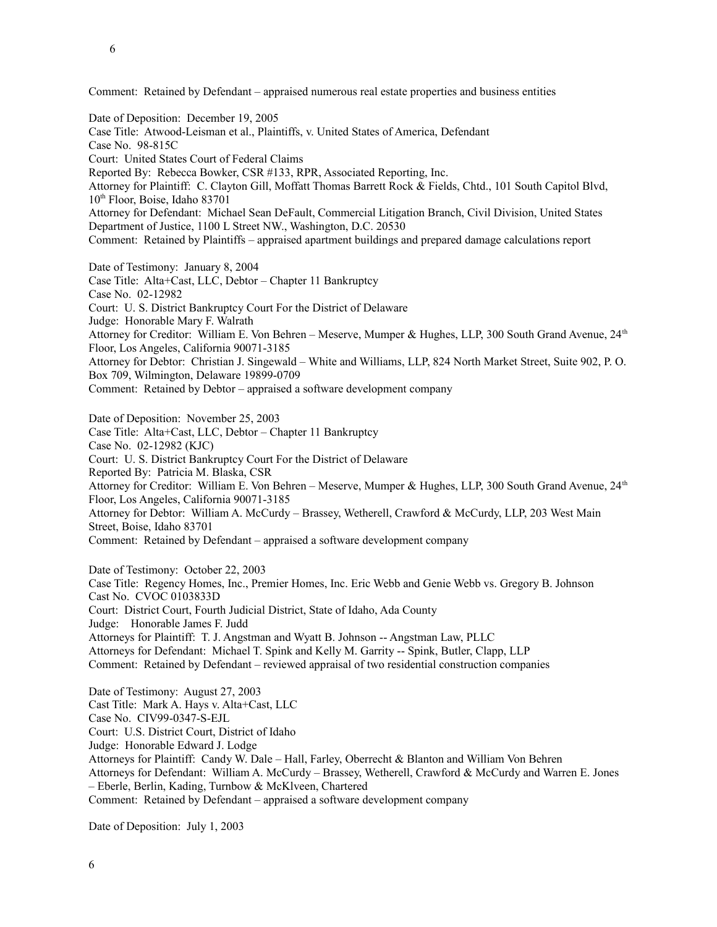Comment: Retained by Defendant – appraised numerous real estate properties and business entities

Date of Deposition: December 19, 2005 Case Title: Atwood-Leisman et al., Plaintiffs, v. United States of America, Defendant Case No. 98-815C Court: United States Court of Federal Claims Reported By: Rebecca Bowker, CSR #133, RPR, Associated Reporting, Inc. Attorney for Plaintiff: C. Clayton Gill, Moffatt Thomas Barrett Rock & Fields, Chtd., 101 South Capitol Blvd, 10<sup>th</sup> Floor, Boise, Idaho 83701 Attorney for Defendant: Michael Sean DeFault, Commercial Litigation Branch, Civil Division, United States Department of Justice, 1100 L Street NW., Washington, D.C. 20530 Comment: Retained by Plaintiffs – appraised apartment buildings and prepared damage calculations report Date of Testimony: January 8, 2004 Case Title: Alta+Cast, LLC, Debtor – Chapter 11 Bankruptcy Case No. 02-12982 Court: U. S. District Bankruptcy Court For the District of Delaware Judge: Honorable Mary F. Walrath

Attorney for Creditor: William E. Von Behren – Meserve, Mumper & Hughes, LLP, 300 South Grand Avenue, 24th Floor, Los Angeles, California 90071-3185

Attorney for Debtor: Christian J. Singewald – White and Williams, LLP, 824 North Market Street, Suite 902, P. O. Box 709, Wilmington, Delaware 19899-0709

Comment: Retained by Debtor – appraised a software development company

Date of Deposition: November 25, 2003 Case Title: Alta+Cast, LLC, Debtor – Chapter 11 Bankruptcy Case No. 02-12982 (KJC) Court: U. S. District Bankruptcy Court For the District of Delaware Reported By: Patricia M. Blaska, CSR Attorney for Creditor: William E. Von Behren – Meserve, Mumper & Hughes, LLP, 300 South Grand Avenue, 24th Floor, Los Angeles, California 90071-3185 Attorney for Debtor: William A. McCurdy – Brassey, Wetherell, Crawford & McCurdy, LLP, 203 West Main Street, Boise, Idaho 83701 Comment: Retained by Defendant – appraised a software development company

Date of Testimony: October 22, 2003 Case Title: Regency Homes, Inc., Premier Homes, Inc. Eric Webb and Genie Webb vs. Gregory B. Johnson Cast No. CVOC 0103833D Court: District Court, Fourth Judicial District, State of Idaho, Ada County Judge: Honorable James F. Judd Attorneys for Plaintiff: T. J. Angstman and Wyatt B. Johnson -- Angstman Law, PLLC Attorneys for Defendant: Michael T. Spink and Kelly M. Garrity -- Spink, Butler, Clapp, LLP Comment: Retained by Defendant – reviewed appraisal of two residential construction companies

Date of Testimony: August 27, 2003 Cast Title: Mark A. Hays v. Alta+Cast, LLC Case No. CIV99-0347-S-EJL Court: U.S. District Court, District of Idaho Judge: Honorable Edward J. Lodge Attorneys for Plaintiff: Candy W. Dale – Hall, Farley, Oberrecht & Blanton and William Von Behren Attorneys for Defendant: William A. McCurdy – Brassey, Wetherell, Crawford & McCurdy and Warren E. Jones – Eberle, Berlin, Kading, Turnbow & McKlveen, Chartered Comment: Retained by Defendant – appraised a software development company

Date of Deposition: July 1, 2003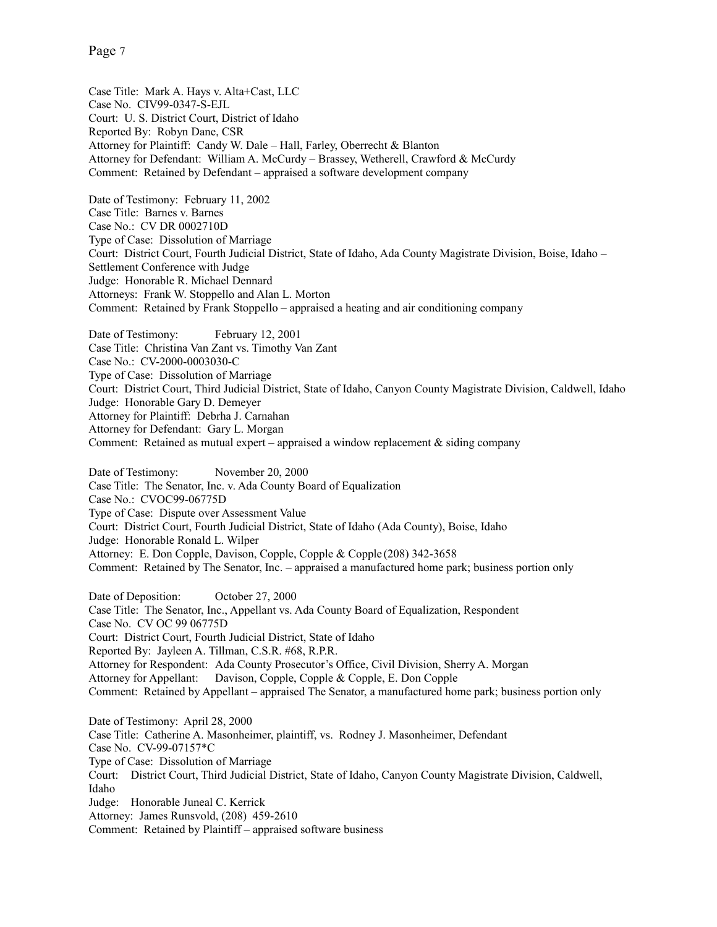Page 7

Case Title: Mark A. Hays v. Alta+Cast, LLC Case No. CIV99-0347-S-EJL Court: U. S. District Court, District of Idaho Reported By: Robyn Dane, CSR Attorney for Plaintiff: Candy W. Dale – Hall, Farley, Oberrecht & Blanton Attorney for Defendant: William A. McCurdy – Brassey, Wetherell, Crawford & McCurdy Comment: Retained by Defendant – appraised a software development company

Date of Testimony: February 11, 2002 Case Title: Barnes v. Barnes Case No.: CV DR 0002710D Type of Case: Dissolution of Marriage Court: District Court, Fourth Judicial District, State of Idaho, Ada County Magistrate Division, Boise, Idaho – Settlement Conference with Judge Judge: Honorable R. Michael Dennard Attorneys: Frank W. Stoppello and Alan L. Morton Comment: Retained by Frank Stoppello – appraised a heating and air conditioning company

Date of Testimony: February 12, 2001 Case Title: Christina Van Zant vs. Timothy Van Zant Case No.: CV-2000-0003030-C Type of Case: Dissolution of Marriage Court: District Court, Third Judicial District, State of Idaho, Canyon County Magistrate Division, Caldwell, Idaho Judge: Honorable Gary D. Demeyer Attorney for Plaintiff: Debrha J. Carnahan Attorney for Defendant: Gary L. Morgan Comment: Retained as mutual expert – appraised a window replacement  $\&$  siding company

Date of Testimony: November 20, 2000 Case Title: The Senator, Inc. v. Ada County Board of Equalization Case No.: CVOC99-06775D Type of Case: Dispute over Assessment Value Court: District Court, Fourth Judicial District, State of Idaho (Ada County), Boise, Idaho Judge: Honorable Ronald L. Wilper Attorney: E. Don Copple, Davison, Copple, Copple & Copple (208) 342-3658 Comment: Retained by The Senator, Inc. – appraised a manufactured home park; business portion only

Date of Deposition: October 27, 2000 Case Title: The Senator, Inc., Appellant vs. Ada County Board of Equalization, Respondent Case No. CV OC 99 06775D Court: District Court, Fourth Judicial District, State of Idaho Reported By: Jayleen A. Tillman, C.S.R. #68, R.P.R. Attorney for Respondent: Ada County Prosecutor's Office, Civil Division, Sherry A. Morgan Attorney for Appellant: Davison, Copple, Copple & Copple, E. Don Copple Comment: Retained by Appellant – appraised The Senator, a manufactured home park; business portion only Date of Testimony: April 28, 2000 Case Title: Catherine A. Masonheimer, plaintiff, vs. Rodney J. Masonheimer, Defendant Case No. CV-99-07157\*C Type of Case: Dissolution of Marriage Court: District Court, Third Judicial District, State of Idaho, Canyon County Magistrate Division, Caldwell, Idaho Judge: Honorable Juneal C. Kerrick Attorney: James Runsvold, (208) 459-2610 Comment: Retained by Plaintiff – appraised software business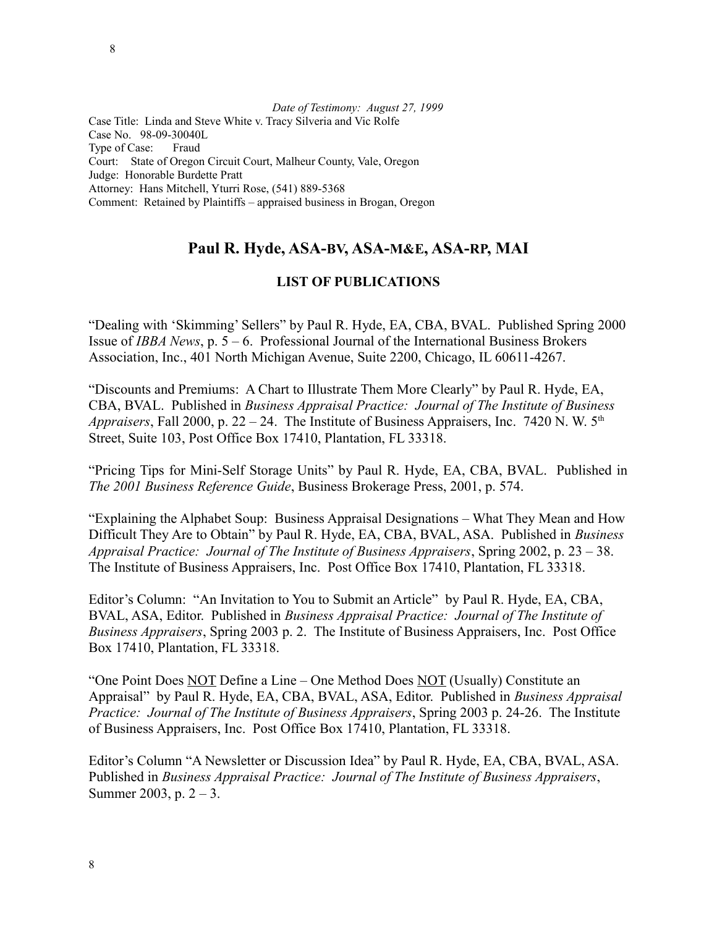8

*Date of Testimony: August 27, 1999* Case Title: Linda and Steve White v. Tracy Silveria and Vic Rolfe Case No. 98-09-30040L Type of Case: Fraud Court: State of Oregon Circuit Court, Malheur County, Vale, Oregon Judge: Honorable Burdette Pratt Attorney: Hans Mitchell, Yturri Rose, (541) 889-5368 Comment: Retained by Plaintiffs – appraised business in Brogan, Oregon

## **Paul R. Hyde, ASA-BV, ASA-M&E, ASA-RP, MAI**

## **LIST OF PUBLICATIONS**

"Dealing with 'Skimming' Sellers" by Paul R. Hyde, EA, CBA, BVAL. Published Spring 2000 Issue of *IBBA News*, p. 5 – 6. Professional Journal of the International Business Brokers Association, Inc., 401 North Michigan Avenue, Suite 2200, Chicago, IL 60611-4267.

"Discounts and Premiums: A Chart to Illustrate Them More Clearly" by Paul R. Hyde, EA, CBA, BVAL. Published in *Business Appraisal Practice: Journal of The Institute of Business Appraisers*, Fall 2000, p. 22 – 24. The Institute of Business Appraisers, Inc. 7420 N. W. 5<sup>th</sup> Street, Suite 103, Post Office Box 17410, Plantation, FL 33318.

"Pricing Tips for Mini-Self Storage Units" by Paul R. Hyde, EA, CBA, BVAL. Published in *The 2001 Business Reference Guide*, Business Brokerage Press, 2001, p. 574.

"Explaining the Alphabet Soup: Business Appraisal Designations – What They Mean and How Difficult They Are to Obtain" by Paul R. Hyde, EA, CBA, BVAL, ASA. Published in *Business Appraisal Practice: Journal of The Institute of Business Appraisers*, Spring 2002, p. 23 – 38. The Institute of Business Appraisers, Inc. Post Office Box 17410, Plantation, FL 33318.

Editor's Column: "An Invitation to You to Submit an Article" by Paul R. Hyde, EA, CBA, BVAL, ASA, Editor. Published in *Business Appraisal Practice: Journal of The Institute of Business Appraisers*, Spring 2003 p. 2. The Institute of Business Appraisers, Inc. Post Office Box 17410, Plantation, FL 33318.

"One Point Does NOT Define a Line – One Method Does NOT (Usually) Constitute an Appraisal" by Paul R. Hyde, EA, CBA, BVAL, ASA, Editor. Published in *Business Appraisal Practice: Journal of The Institute of Business Appraisers*, Spring 2003 p. 24-26. The Institute of Business Appraisers, Inc. Post Office Box 17410, Plantation, FL 33318.

Editor's Column "A Newsletter or Discussion Idea" by Paul R. Hyde, EA, CBA, BVAL, ASA. Published in *Business Appraisal Practice: Journal of The Institute of Business Appraisers*, Summer 2003, p.  $2 - 3$ .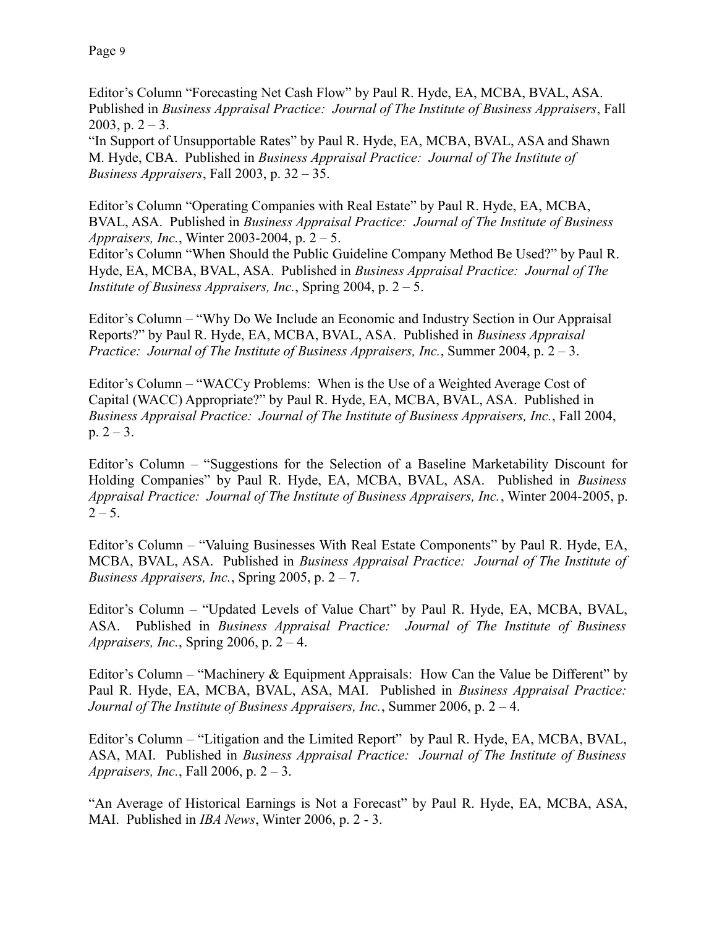Editor's Column "Forecasting Net Cash Flow" by Paul R. Hyde, EA, MCBA, BVAL, ASA. Published in *Business Appraisal Practice: Journal of The Institute of Business Appraisers*, Fall 2003, p.  $2 - 3$ .

"In Support of Unsupportable Rates" by Paul R. Hyde, EA, MCBA, BVAL, ASA and Shawn M. Hyde, CBA. Published in *Business Appraisal Practice: Journal of The Institute of Business Appraisers*, Fall 2003, p. 32 – 35.

Editor's Column "Operating Companies with Real Estate" by Paul R. Hyde, EA, MCBA, BVAL, ASA. Published in *Business Appraisal Practice: Journal of The Institute of Business Appraisers, Inc.*, Winter 2003-2004, p. 2 – 5.

Editor's Column "When Should the Public Guideline Company Method Be Used?" by Paul R. Hyde, EA, MCBA, BVAL, ASA. Published in *Business Appraisal Practice: Journal of The Institute of Business Appraisers, Inc.*, Spring 2004, p. 2 – 5.

Editor's Column – "Why Do We Include an Economic and Industry Section in Our Appraisal Reports?" by Paul R. Hyde, EA, MCBA, BVAL, ASA. Published in *Business Appraisal Practice: Journal of The Institute of Business Appraisers, Inc.*, Summer 2004, p. 2 – 3.

Editor's Column – "WACCy Problems: When is the Use of a Weighted Average Cost of Capital (WACC) Appropriate?" by Paul R. Hyde, EA, MCBA, BVAL, ASA. Published in *Business Appraisal Practice: Journal of The Institute of Business Appraisers, Inc.*, Fall 2004, p.  $2 - 3$ .

Editor's Column – "Suggestions for the Selection of a Baseline Marketability Discount for Holding Companies" by Paul R. Hyde, EA, MCBA, BVAL, ASA. Published in *Business Appraisal Practice: Journal of The Institute of Business Appraisers, Inc.*, Winter 2004-2005, p.  $2 - 5$ .

Editor's Column – "Valuing Businesses With Real Estate Components" by Paul R. Hyde, EA, MCBA, BVAL, ASA. Published in *Business Appraisal Practice: Journal of The Institute of Business Appraisers, Inc., Spring 2005, p.*  $2 - 7$ *.* 

Editor's Column – "Updated Levels of Value Chart" by Paul R. Hyde, EA, MCBA, BVAL, ASA. Published in *Business Appraisal Practice: Journal of The Institute of Business Appraisers, Inc.*, Spring 2006, p. 2 – 4.

Editor's Column – "Machinery & Equipment Appraisals: How Can the Value be Different" by Paul R. Hyde, EA, MCBA, BVAL, ASA, MAI. Published in *Business Appraisal Practice: Journal of The Institute of Business Appraisers, Inc.*, Summer 2006, p. 2 – 4.

Editor's Column – "Litigation and the Limited Report" by Paul R. Hyde, EA, MCBA, BVAL, ASA, MAI. Published in *Business Appraisal Practice: Journal of The Institute of Business Appraisers, Inc.*, Fall 2006, p. 2 – 3.

"An Average of Historical Earnings is Not a Forecast" by Paul R. Hyde, EA, MCBA, ASA, MAI. Published in *IBA News*, Winter 2006, p. 2 - 3.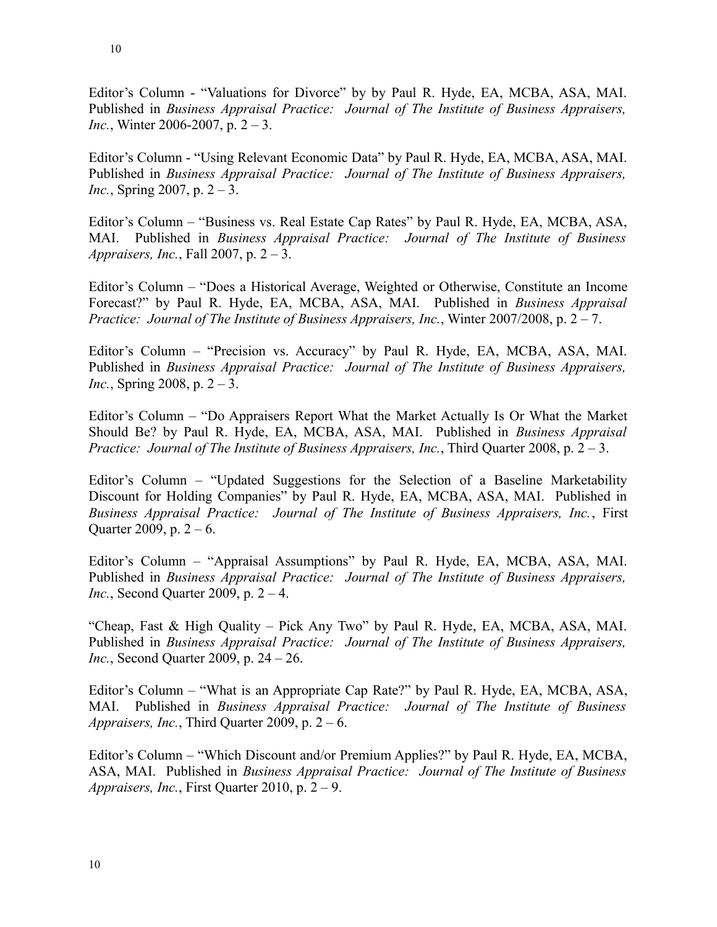Editor's Column - "Valuations for Divorce" by by Paul R. Hyde, EA, MCBA, ASA, MAI. Published in *Business Appraisal Practice: Journal of The Institute of Business Appraisers, Inc.*, Winter 2006-2007, p. 2 – 3.

Editor's Column - "Using Relevant Economic Data" by Paul R. Hyde, EA, MCBA, ASA, MAI. Published in *Business Appraisal Practice: Journal of The Institute of Business Appraisers, Inc.*, Spring 2007, p. 2 – 3.

Editor's Column – "Business vs. Real Estate Cap Rates" by Paul R. Hyde, EA, MCBA, ASA, MAI. Published in *Business Appraisal Practice: Journal of The Institute of Business Appraisers, Inc.*, Fall 2007, p. 2 – 3.

Editor's Column – "Does a Historical Average, Weighted or Otherwise, Constitute an Income Forecast?" by Paul R. Hyde, EA, MCBA, ASA, MAI. Published in *Business Appraisal Practice: Journal of The Institute of Business Appraisers, Inc.*, Winter 2007/2008, p. 2 – 7.

Editor's Column – "Precision vs. Accuracy" by Paul R. Hyde, EA, MCBA, ASA, MAI. Published in *Business Appraisal Practice: Journal of The Institute of Business Appraisers, Inc.*, Spring 2008, p. 2 – 3.

Editor's Column – "Do Appraisers Report What the Market Actually Is Or What the Market Should Be? by Paul R. Hyde, EA, MCBA, ASA, MAI. Published in *Business Appraisal Practice: Journal of The Institute of Business Appraisers, Inc.*, Third Quarter 2008, p. 2 – 3.

Editor's Column – "Updated Suggestions for the Selection of a Baseline Marketability Discount for Holding Companies" by Paul R. Hyde, EA, MCBA, ASA, MAI. Published in *Business Appraisal Practice: Journal of The Institute of Business Appraisers, Inc.*, First Quarter 2009, p.  $2 - 6$ .

Editor's Column – "Appraisal Assumptions" by Paul R. Hyde, EA, MCBA, ASA, MAI. Published in *Business Appraisal Practice: Journal of The Institute of Business Appraisers, Inc.*, Second Quarter 2009, p. 2 – 4.

"Cheap, Fast & High Quality – Pick Any Two" by Paul R. Hyde, EA, MCBA, ASA, MAI. Published in *Business Appraisal Practice: Journal of The Institute of Business Appraisers, Inc.*, Second Quarter 2009, p. 24 – 26.

Editor's Column – "What is an Appropriate Cap Rate?" by Paul R. Hyde, EA, MCBA, ASA, MAI. Published in *Business Appraisal Practice: Journal of The Institute of Business Appraisers, Inc.*, Third Quarter 2009, p. 2 – 6.

Editor's Column – "Which Discount and/or Premium Applies?" by Paul R. Hyde, EA, MCBA, ASA, MAI. Published in *Business Appraisal Practice: Journal of The Institute of Business Appraisers, Inc.*, First Quarter 2010, p. 2 – 9.